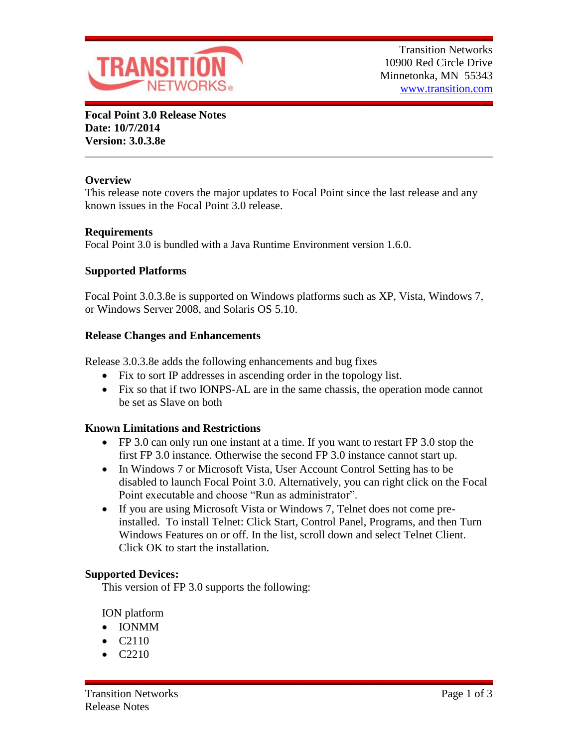

**Focal Point 3.0 Release Notes Date: 10/7/2014 Version: 3.0.3.8e**

# **Overview**

This release note covers the major updates to Focal Point since the last release and any known issues in the Focal Point 3.0 release.

### **Requirements**

Focal Point 3.0 is bundled with a Java Runtime Environment version 1.6.0.

# **Supported Platforms**

Focal Point 3.0.3.8e is supported on Windows platforms such as XP, Vista, Windows 7, or Windows Server 2008, and Solaris OS 5.10.

### **Release Changes and Enhancements**

Release 3.0.3.8e adds the following enhancements and bug fixes

- Fix to sort IP addresses in ascending order in the topology list.
- Fix so that if two IONPS-AL are in the same chassis, the operation mode cannot be set as Slave on both

# **Known Limitations and Restrictions**

- FP 3.0 can only run one instant at a time. If you want to restart FP 3.0 stop the first FP 3.0 instance. Otherwise the second FP 3.0 instance cannot start up.
- In Windows 7 or Microsoft Vista, User Account Control Setting has to be disabled to launch Focal Point 3.0. Alternatively, you can right click on the Focal Point executable and choose "Run as administrator".
- If you are using Microsoft Vista or Windows 7, Telnet does not come preinstalled. To install Telnet: Click Start, Control Panel, Programs, and then Turn Windows Features on or off. In the list, scroll down and select Telnet Client. Click OK to start the installation.

### **Supported Devices:**

This version of FP 3.0 supports the following:

ION platform

- IONMM
- $\bullet$  C<sub>2110</sub>
- C2210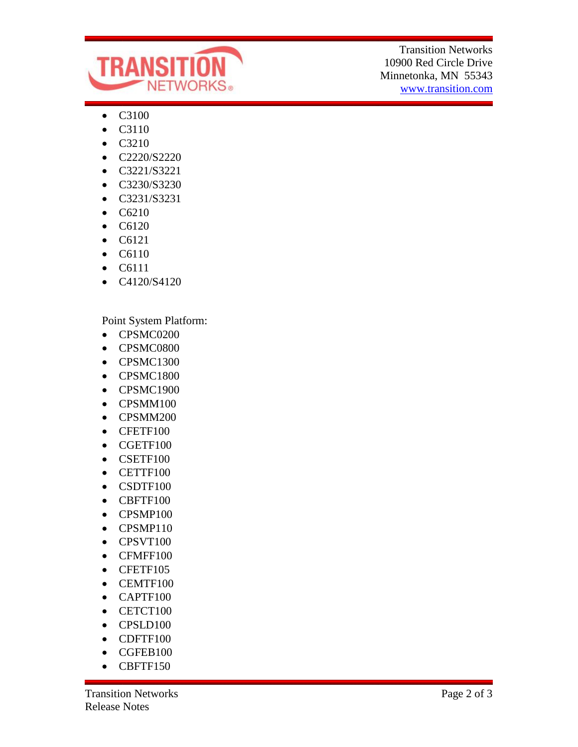

Transition Networks 10900 Red Circle Drive Minnetonka, MN 55343 [www.transition.com](http://www.transition.com/)

- C3100
- C3110
- C3210
- C2220/S2220
- C3221/S3221
- C3230/S3230
- C3231/S3231
- C6210
- C6120
- $\bullet$  C6121
- C6110
- C6111
- $\bullet$  C4120/S4120

Point System Platform:

- CPSMC0200
- CPSMC0800
- CPSMC1300
- CPSMC1800
- CPSMC1900
- CPSMM100
- CPSMM200
- CFETF100
- CGETF100
- CSETF100
- CETTF100
- CSDTF100
- CBFTF100
- CPSMP100
- CPSMP110
- CPSVT100
- CFMFF100
- CFETF105
- CEMTF100
- CAPTF100
- CETCT100
- CPSLD100
- CDFTF100
- CGFEB100
- CBFTF150